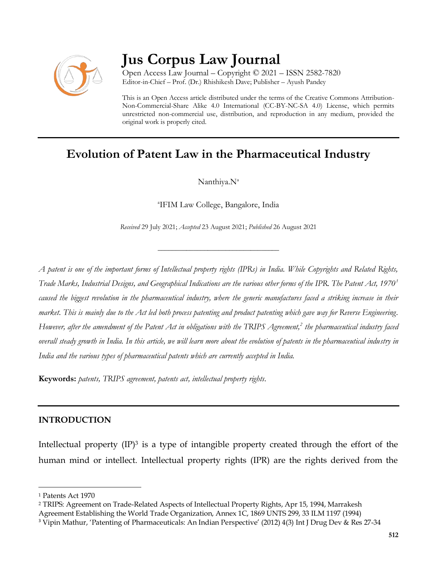

# **Jus Corpus Law Journal**

Open Access Law Journal – Copyright © 2021 – ISSN 2582-7820 Editor-in-Chief – Prof. (Dr.) Rhishikesh Dave; Publisher – Ayush Pandey

This is an Open Access article distributed under the terms of the Creative Commons Attribution-Non-Commercial-Share Alike 4.0 International (CC-BY-NC-SA 4.0) License, which permits unrestricted non-commercial use, distribution, and reproduction in any medium, provided the original work is properly cited.

# **Evolution of Patent Law in the Pharmaceutical Industry**

Nanthiya.N<sup>a</sup>

a IFIM Law College, Bangalore, India

*Received* 29 July 2021; *Accepted* 23 August 2021; *Published* 26 August 2021

\_\_\_\_\_\_\_\_\_\_\_\_\_\_\_\_\_\_\_\_\_\_\_\_\_\_\_\_\_\_\_\_\_\_

*A patent is one of the important forms of Intellectual property rights (IPRs) in India. While Copyrights and Related Rights, Trade Marks, Industrial Designs, and Geographical Indications are the various other forms of the IPR. The Patent Act, 1970<sup>1</sup> caused the biggest revolution in the pharmaceutical industry, where the generic manufactures faced a striking increase in their market. This is mainly due to the Act led both process patenting and product patenting which gave way for Reverse Engineering. However, after the amendment of the Patent Act in obligations with the TRIPS Agreement,<sup>2</sup> the pharmaceutical industry faced overall steady growth in India. In this article, we will learn more about the evolution of patents in the pharmaceutical industry in India and the various types of pharmaceutical patents which are currently accepted in India.*

**Keywords:** *patents, TRIPS agreement, patents act, intellectual property rights.*

## **INTRODUCTION**

Intellectual property  $(\text{IP})^3$  is a type of intangible property created through the effort of the human mind or intellect. Intellectual property rights (IPR) are the rights derived from the

<sup>1</sup> Patents Act 1970

<sup>2</sup> TRIPS: Agreement on Trade-Related Aspects of Intellectual Property Rights, Apr 15, 1994, Marrakesh

Agreement Establishing the World Trade Organization, Annex 1C, 1869 UNTS 299, 33 ILM 1197 (1994)

<sup>3</sup> Vipin Mathur, 'Patenting of Pharmaceuticals: An Indian Perspective' (2012) 4(3) Int J Drug Dev & Res 27-34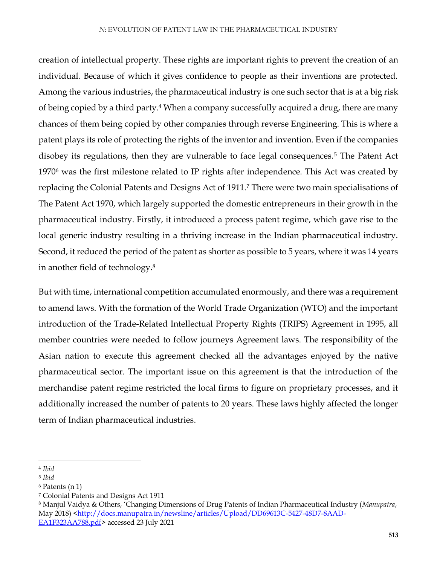creation of intellectual property. These rights are important rights to prevent the creation of an individual. Because of which it gives confidence to people as their inventions are protected. Among the various industries, the pharmaceutical industry is one such sector that is at a big risk of being copied by a third party.<sup>4</sup> When a company successfully acquired a drug, there are many chances of them being copied by other companies through reverse Engineering. This is where a patent plays its role of protecting the rights of the inventor and invention. Even if the companies disobey its regulations, then they are vulnerable to face legal consequences.<sup>5</sup> The Patent Act 1970<sup>6</sup> was the first milestone related to IP rights after independence. This Act was created by replacing the Colonial Patents and Designs Act of 1911.<sup>7</sup> There were two main specialisations of The Patent Act 1970, which largely supported the domestic entrepreneurs in their growth in the pharmaceutical industry. Firstly, it introduced a process patent regime, which gave rise to the local generic industry resulting in a thriving increase in the Indian pharmaceutical industry. Second, it reduced the period of the patent as shorter as possible to 5 years, where it was 14 years in another field of technology.<sup>8</sup>

But with time, international competition accumulated enormously, and there was a requirement to amend laws. With the formation of the World Trade Organization (WTO) and the important introduction of the Trade-Related Intellectual Property Rights (TRIPS) Agreement in 1995, all member countries were needed to follow journeys Agreement laws. The responsibility of the Asian nation to execute this agreement checked all the advantages enjoyed by the native pharmaceutical sector. The important issue on this agreement is that the introduction of the merchandise patent regime restricted the local firms to figure on proprietary processes, and it additionally increased the number of patents to 20 years. These laws highly affected the longer term of Indian pharmaceutical industries.

 $\overline{a}$ 

<sup>4</sup> *Ibid*

<sup>5</sup> *Ibid*

<sup>6</sup> Patents (n 1)

<sup>7</sup> Colonial Patents and Designs Act 1911

<sup>8</sup> Manjul Vaidya & Others, 'Changing Dimensions of Drug Patents of Indian Pharmaceutical Industry (*Manupatra*, May 2018) [<http://docs.manupatra.in/newsline/articles/Upload/DD69613C-5427-48D7-8AAD-](http://docs.manupatra.in/newsline/articles/Upload/DD69613C-5427-48D7-8AAD-EA1F323AA788.pdf)[EA1F323AA788.pdf>](http://docs.manupatra.in/newsline/articles/Upload/DD69613C-5427-48D7-8AAD-EA1F323AA788.pdf) accessed 23 July 2021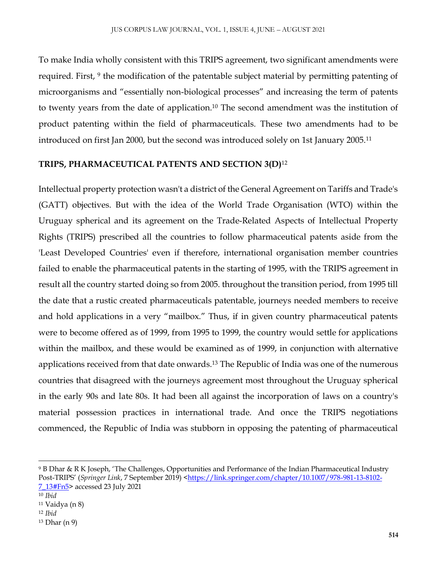To make India wholly consistent with this TRIPS agreement, two significant amendments were required. First, <sup>9</sup> the modification of the patentable subject material by permitting patenting of microorganisms and "essentially non-biological processes" and increasing the term of patents to twenty years from the date of application.<sup>10</sup> The second amendment was the institution of product patenting within the field of pharmaceuticals. These two amendments had to be introduced on first Jan 2000, but the second was introduced solely on 1st January 2005.<sup>11</sup>

#### **TRIPS, PHARMACEUTICAL PATENTS AND SECTION 3(D)**<sup>12</sup>

Intellectual property protection wasn't a district of the General Agreement on Tariffs and Trade's (GATT) objectives. But with the idea of the World Trade Organisation (WTO) within the Uruguay spherical and its agreement on the Trade-Related Aspects of Intellectual Property Rights (TRIPS) prescribed all the countries to follow pharmaceutical patents aside from the 'Least Developed Countries' even if therefore, international organisation member countries failed to enable the pharmaceutical patents in the starting of 1995, with the TRIPS agreement in result all the country started doing so from 2005. throughout the transition period, from 1995 till the date that a rustic created pharmaceuticals patentable, journeys needed members to receive and hold applications in a very "mailbox." Thus, if in given country pharmaceutical patents were to become offered as of 1999, from 1995 to 1999, the country would settle for applications within the mailbox, and these would be examined as of 1999, in conjunction with alternative applications received from that date onwards.<sup>13</sup> The Republic of India was one of the numerous countries that disagreed with the journeys agreement most throughout the Uruguay spherical in the early 90s and late 80s. It had been all against the incorporation of laws on a country's material possession practices in international trade. And once the TRIPS negotiations commenced, the Republic of India was stubborn in opposing the patenting of pharmaceutical

 $\overline{a}$ 

<sup>9</sup> B Dhar & R K Joseph, 'The Challenges, Opportunities and Performance of the Indian Pharmaceutical Industry Post-TRIPS' (Springer Link, 7 September 2019) [<https://link.springer.com/chapter/10.1007/978-981-13-8102-](https://link.springer.com/chapter/10.1007/978-981-13-8102-7_13#Fn5) [7\\_13#Fn5>](https://link.springer.com/chapter/10.1007/978-981-13-8102-7_13#Fn5) accessed 23 July 2021

<sup>10</sup> *Ibid*

<sup>11</sup> Vaidya (n 8)

<sup>12</sup> *Ibid*

<sup>13</sup> Dhar (n 9)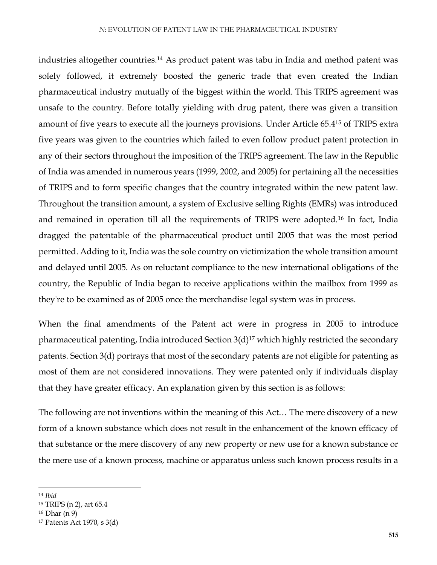industries altogether countries.<sup>14</sup> As product patent was tabu in India and method patent was solely followed, it extremely boosted the generic trade that even created the Indian pharmaceutical industry mutually of the biggest within the world. This TRIPS agreement was unsafe to the country. Before totally yielding with drug patent, there was given a transition amount of five years to execute all the journeys provisions. Under Article 65.4<sup>15</sup> of TRIPS extra five years was given to the countries which failed to even follow product patent protection in any of their sectors throughout the imposition of the TRIPS agreement. The law in the Republic of India was amended in numerous years (1999, 2002, and 2005) for pertaining all the necessities of TRIPS and to form specific changes that the country integrated within the new patent law. Throughout the transition amount, a system of Exclusive selling Rights (EMRs) was introduced and remained in operation till all the requirements of TRIPS were adopted.<sup>16</sup> In fact, India dragged the patentable of the pharmaceutical product until 2005 that was the most period permitted. Adding to it, India was the sole country on victimization the whole transition amount and delayed until 2005. As on reluctant compliance to the new international obligations of the country, the Republic of India began to receive applications within the mailbox from 1999 as they're to be examined as of 2005 once the merchandise legal system was in process.

When the final amendments of the Patent act were in progress in 2005 to introduce pharmaceutical patenting, India introduced Section  $3(d)^{17}$  which highly restricted the secondary patents. Section 3(d) portrays that most of the secondary patents are not eligible for patenting as most of them are not considered innovations. They were patented only if individuals display that they have greater efficacy. An explanation given by this section is as follows:

The following are not inventions within the meaning of this Act… The mere discovery of a new form of a known substance which does not result in the enhancement of the known efficacy of that substance or the mere discovery of any new property or new use for a known substance or the mere use of a known process, machine or apparatus unless such known process results in a

<sup>14</sup> *Ibid*

<sup>15</sup> TRIPS (n 2), art 65.4

<sup>16</sup> Dhar (n 9)

<sup>17</sup> Patents Act 1970, s 3(d)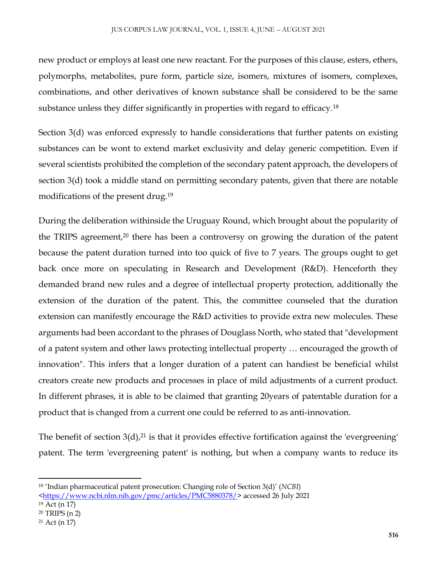new product or employs at least one new reactant. For the purposes of this clause, esters, ethers, polymorphs, metabolites, pure form, particle size, isomers, mixtures of isomers, complexes, combinations, and other derivatives of known substance shall be considered to be the same substance unless they differ significantly in properties with regard to efficacy.<sup>18</sup>

Section 3(d) was enforced expressly to handle considerations that further patents on existing substances can be wont to extend market exclusivity and delay generic competition. Even if several scientists prohibited the completion of the secondary patent approach, the developers of section 3(d) took a middle stand on permitting secondary patents, given that there are notable modifications of the present drug.<sup>19</sup>

During the deliberation withinside the Uruguay Round, which brought about the popularity of the TRIPS agreement,<sup>20</sup> there has been a controversy on growing the duration of the patent because the patent duration turned into too quick of five to 7 years. The groups ought to get back once more on speculating in Research and Development (R&D). Henceforth they demanded brand new rules and a degree of intellectual property protection, additionally the extension of the duration of the patent. This, the committee counseled that the duration extension can manifestly encourage the R&D activities to provide extra new molecules. These arguments had been accordant to the phrases of Douglass North, who stated that "development of a patent system and other laws protecting intellectual property … encouraged the growth of innovation". This infers that a longer duration of a patent can handiest be beneficial whilst creators create new products and processes in place of mild adjustments of a current product. In different phrases, it is able to be claimed that granting 20years of patentable duration for a product that is changed from a current one could be referred to as anti-innovation.

The benefit of section  $3(d)$ ,<sup>21</sup> is that it provides effective fortification against the 'evergreening' patent. The term 'evergreening patent' is nothing, but when a company wants to reduce its

 $\overline{a}$ 

<sup>18</sup> 'Indian pharmaceutical patent prosecution: Changing role of Section 3(d)' (*NCBI*)

[<sup>&</sup>lt;https://www.ncbi.nlm.nih.gov/pmc/articles/PMC5880378/>](https://www.ncbi.nlm.nih.gov/pmc/articles/PMC5880378/) accessed 26 July 2021 <sup>19</sup> Act (n 17)

<sup>20</sup> TRIPS (n 2)

<sup>21</sup> Act (n 17)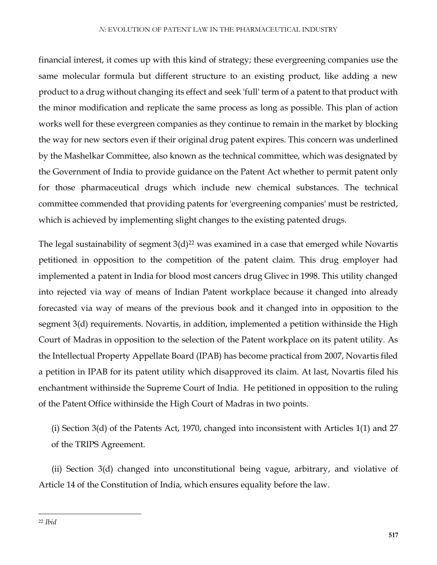financial interest, it comes up with this kind of strategy; these evergreening companies use the same molecular formula but different structure to an existing product, like adding a new product to a drug without changing its effect and seek 'full' term of a patent to that product with the minor modification and replicate the same process as long as possible. This plan of action works well for these evergreen companies as they continue to remain in the market by blocking the way for new sectors even if their original drug patent expires. This concern was underlined by the Mashelkar Committee, also known as the technical committee, which was designated by the Government of India to provide guidance on the Patent Act whether to permit patent only for those pharmaceutical drugs which include new chemical substances. The technical committee commended that providing patents for 'evergreening companies' must be restricted, which is achieved by implementing slight changes to the existing patented drugs.

The legal sustainability of segment  $3(d)^{22}$  was examined in a case that emerged while Novartis petitioned in opposition to the competition of the patent claim. This drug employer had implemented a patent in India for blood most cancers drug Glivec in 1998. This utility changed into rejected via way of means of Indian Patent workplace because it changed into already forecasted via way of means of the previous book and it changed into in opposition to the segment 3(d) requirements. Novartis, in addition, implemented a petition withinside the High Court of Madras in opposition to the selection of the Patent workplace on its patent utility. As the Intellectual Property Appellate Board (IPAB) has become practical from 2007, Novartis filed a petition in IPAB for its patent utility which disapproved its claim. At last, Novartis filed his enchantment withinside the Supreme Court of India. He petitioned in opposition to the ruling of the Patent Office withinside the High Court of Madras in two points.

(i) Section 3(d) of the Patents Act, 1970, changed into inconsistent with Articles 1(1) and 27 of the TRIPS Agreement.

 (ii) Section 3(d) changed into unconstitutional being vague, arbitrary, and violative of Article 14 of the Constitution of India, which ensures equality before the law.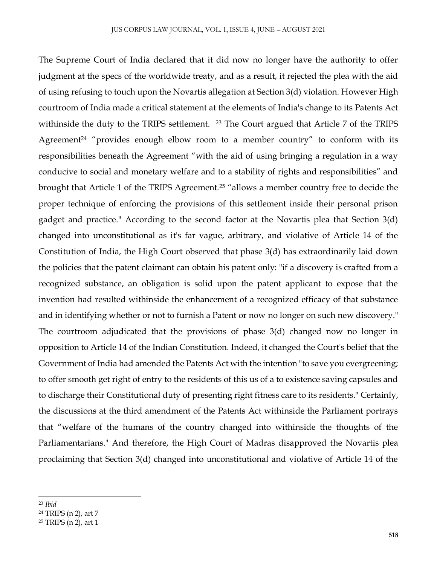The Supreme Court of India declared that it did now no longer have the authority to offer judgment at the specs of the worldwide treaty, and as a result, it rejected the plea with the aid of using refusing to touch upon the Novartis allegation at Section 3(d) violation. However High courtroom of India made a critical statement at the elements of India's change to its Patents Act withinside the duty to the TRIPS settlement. <sup>23</sup> The Court argued that Article 7 of the TRIPS Agreement<sup>24</sup> "provides enough elbow room to a member country" to conform with its responsibilities beneath the Agreement "with the aid of using bringing a regulation in a way conducive to social and monetary welfare and to a stability of rights and responsibilities" and brought that Article 1 of the TRIPS Agreement.<sup>25</sup> "allows a member country free to decide the proper technique of enforcing the provisions of this settlement inside their personal prison gadget and practice." According to the second factor at the Novartis plea that Section 3(d) changed into unconstitutional as it's far vague, arbitrary, and violative of Article 14 of the Constitution of India, the High Court observed that phase 3(d) has extraordinarily laid down the policies that the patent claimant can obtain his patent only: "if a discovery is crafted from a recognized substance, an obligation is solid upon the patent applicant to expose that the invention had resulted withinside the enhancement of a recognized efficacy of that substance and in identifying whether or not to furnish a Patent or now no longer on such new discovery." The courtroom adjudicated that the provisions of phase 3(d) changed now no longer in opposition to Article 14 of the Indian Constitution. Indeed, it changed the Court's belief that the Government of India had amended the Patents Act with the intention "to save you evergreening; to offer smooth get right of entry to the residents of this us of a to existence saving capsules and to discharge their Constitutional duty of presenting right fitness care to its residents." Certainly, the discussions at the third amendment of the Patents Act withinside the Parliament portrays that "welfare of the humans of the country changed into withinside the thoughts of the Parliamentarians." And therefore, the High Court of Madras disapproved the Novartis plea proclaiming that Section 3(d) changed into unconstitutional and violative of Article 14 of the

<sup>23</sup> *Ibid*

<sup>24</sup> TRIPS (n 2), art 7

<sup>25</sup> TRIPS (n 2), art 1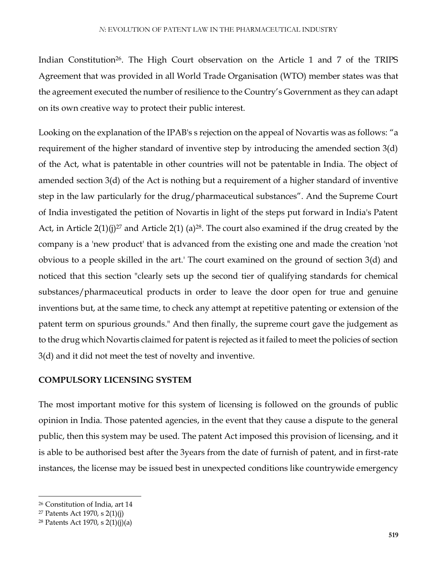Indian Constitution<sup>26</sup>. The High Court observation on the Article 1 and 7 of the TRIPS Agreement that was provided in all World Trade Organisation (WTO) member states was that the agreement executed the number of resilience to the Country's Government as they can adapt on its own creative way to protect their public interest.

Looking on the explanation of the IPAB's s rejection on the appeal of Novartis was as follows: "a requirement of the higher standard of inventive step by introducing the amended section 3(d) of the Act, what is patentable in other countries will not be patentable in India. The object of amended section 3(d) of the Act is nothing but a requirement of a higher standard of inventive step in the law particularly for the drug/pharmaceutical substances". And the Supreme Court of India investigated the petition of Novartis in light of the steps put forward in India's Patent Act, in Article  $2(1)(i)^{27}$  and Article  $2(1)(a)^{28}$ . The court also examined if the drug created by the company is a 'new product' that is advanced from the existing one and made the creation 'not obvious to a people skilled in the art.' The court examined on the ground of section 3(d) and noticed that this section "clearly sets up the second tier of qualifying standards for chemical substances/pharmaceutical products in order to leave the door open for true and genuine inventions but, at the same time, to check any attempt at repetitive patenting or extension of the patent term on spurious grounds." And then finally, the supreme court gave the judgement as to the drug which Novartis claimed for patent is rejected as it failed to meet the policies of section 3(d) and it did not meet the test of novelty and inventive.

#### **COMPULSORY LICENSING SYSTEM**

The most important motive for this system of licensing is followed on the grounds of public opinion in India. Those patented agencies, in the event that they cause a dispute to the general public, then this system may be used. The patent Act imposed this provision of licensing, and it is able to be authorised best after the 3years from the date of furnish of patent, and in first-rate instances, the license may be issued best in unexpected conditions like countrywide emergency

<sup>26</sup> Constitution of India, art 14

<sup>27</sup> Patents Act 1970, s 2(1)(j)

<sup>28</sup> Patents Act 1970, s 2(1)(j)(a)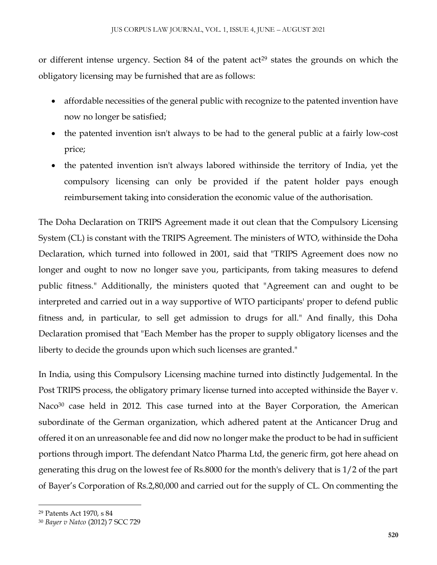or different intense urgency. Section 84 of the patent  $act<sup>29</sup>$  states the grounds on which the obligatory licensing may be furnished that are as follows:

- affordable necessities of the general public with recognize to the patented invention have now no longer be satisfied;
- the patented invention isn't always to be had to the general public at a fairly low-cost price;
- the patented invention isn't always labored withinside the territory of India, yet the compulsory licensing can only be provided if the patent holder pays enough reimbursement taking into consideration the economic value of the authorisation.

The Doha Declaration on TRIPS Agreement made it out clean that the Compulsory Licensing System (CL) is constant with the TRIPS Agreement. The ministers of WTO, withinside the Doha Declaration, which turned into followed in 2001, said that "TRIPS Agreement does now no longer and ought to now no longer save you, participants, from taking measures to defend public fitness." Additionally, the ministers quoted that "Agreement can and ought to be interpreted and carried out in a way supportive of WTO participants' proper to defend public fitness and, in particular, to sell get admission to drugs for all." And finally, this Doha Declaration promised that "Each Member has the proper to supply obligatory licenses and the liberty to decide the grounds upon which such licenses are granted."

In India, using this Compulsory Licensing machine turned into distinctly Judgemental. In the Post TRIPS process, the obligatory primary license turned into accepted withinside the Bayer v. Naco<sup>30</sup> case held in 2012. This case turned into at the Bayer Corporation, the American subordinate of the German organization, which adhered patent at the Anticancer Drug and offered it on an unreasonable fee and did now no longer make the product to be had in sufficient portions through import. The defendant Natco Pharma Ltd, the generic firm, got here ahead on generating this drug on the lowest fee of Rs.8000 for the month's delivery that is 1/2 of the part of Bayer's Corporation of Rs.2,80,000 and carried out for the supply of CL. On commenting the

<sup>29</sup> Patents Act 1970, s 84

<sup>30</sup> *Bayer v Natco* (2012) 7 SCC 729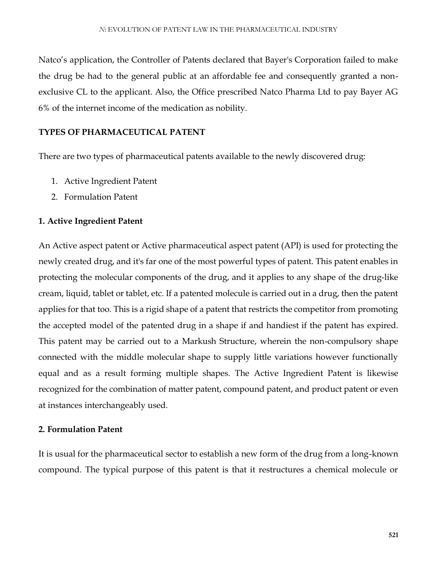Natco's application, the Controller of Patents declared that Bayer's Corporation failed to make the drug be had to the general public at an affordable fee and consequently granted a nonexclusive CL to the applicant. Also, the Office prescribed Natco Pharma Ltd to pay Bayer AG 6% of the internet income of the medication as nobility.

#### **TYPES OF PHARMACEUTICAL PATENT**

There are two types of pharmaceutical patents available to the newly discovered drug:

- 1. Active Ingredient Patent
- 2. Formulation Patent

#### **1. Active Ingredient Patent**

An Active aspect patent or Active pharmaceutical aspect patent (API) is used for protecting the newly created drug, and it's far one of the most powerful types of patent. This patent enables in protecting the molecular components of the drug, and it applies to any shape of the drug-like cream, liquid, tablet or tablet, etc. If a patented molecule is carried out in a drug, then the patent applies for that too. This is a rigid shape of a patent that restricts the competitor from promoting the accepted model of the patented drug in a shape if and handiest if the patent has expired. This patent may be carried out to a Markush Structure, wherein the non-compulsory shape connected with the middle molecular shape to supply little variations however functionally equal and as a result forming multiple shapes. The Active Ingredient Patent is likewise recognized for the combination of matter patent, compound patent, and product patent or even at instances interchangeably used.

#### **2. Formulation Patent**

It is usual for the pharmaceutical sector to establish a new form of the drug from a long-known compound. The typical purpose of this patent is that it restructures a chemical molecule or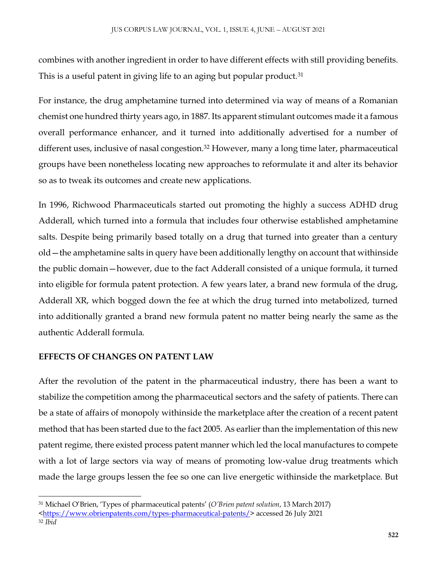combines with another ingredient in order to have different effects with still providing benefits. This is a useful patent in giving life to an aging but popular product.<sup>31</sup>

For instance, the drug amphetamine turned into determined via way of means of a Romanian chemist one hundred thirty years ago, in 1887. Its apparent stimulant outcomes made it a famous overall performance enhancer, and it turned into additionally advertised for a number of different uses, inclusive of nasal congestion.<sup>32</sup> However, many a long time later, pharmaceutical groups have been nonetheless locating new approaches to reformulate it and alter its behavior so as to tweak its outcomes and create new applications.

In 1996, Richwood Pharmaceuticals started out promoting the highly a success ADHD drug Adderall, which turned into a formula that includes four otherwise established amphetamine salts. Despite being primarily based totally on a drug that turned into greater than a century old—the amphetamine salts in query have been additionally lengthy on account that withinside the public domain—however, due to the fact Adderall consisted of a unique formula, it turned into eligible for formula patent protection. A few years later, a brand new formula of the drug, Adderall XR, which bogged down the fee at which the drug turned into metabolized, turned into additionally granted a brand new formula patent no matter being nearly the same as the authentic Adderall formula.

## **EFFECTS OF CHANGES ON PATENT LAW**

After the revolution of the patent in the pharmaceutical industry, there has been a want to stabilize the competition among the pharmaceutical sectors and the safety of patients. There can be a state of affairs of monopoly withinside the marketplace after the creation of a recent patent method that has been started due to the fact 2005. As earlier than the implementation of this new patent regime, there existed process patent manner which led the local manufactures to compete with a lot of large sectors via way of means of promoting low-value drug treatments which made the large groups lessen the fee so one can live energetic withinside the marketplace. But

 $\overline{\phantom{a}}$ <sup>31</sup> Michael O'Brien, 'Types of pharmaceutical patents' (*O'Brien patent solution*, 13 March 2017)

[<sup>&</sup>lt;https://www.obrienpatents.com/types-pharmaceutical-patents/>](https://www.obrienpatents.com/types-pharmaceutical-patents/) accessed 26 July 2021 <sup>32</sup> *Ibid*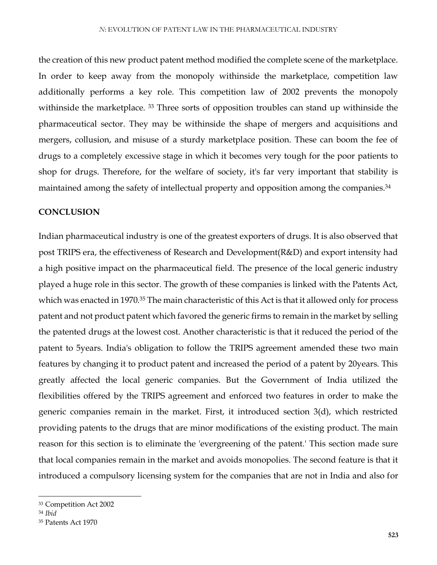the creation of this new product patent method modified the complete scene of the marketplace. In order to keep away from the monopoly withinside the marketplace, competition law additionally performs a key role. This competition law of 2002 prevents the monopoly withinside the marketplace. <sup>33</sup> Three sorts of opposition troubles can stand up withinside the pharmaceutical sector. They may be withinside the shape of mergers and acquisitions and mergers, collusion, and misuse of a sturdy marketplace position. These can boom the fee of drugs to a completely excessive stage in which it becomes very tough for the poor patients to shop for drugs. Therefore, for the welfare of society, it's far very important that stability is maintained among the safety of intellectual property and opposition among the companies.<sup>34</sup>

#### **CONCLUSION**

Indian pharmaceutical industry is one of the greatest exporters of drugs. It is also observed that post TRIPS era, the effectiveness of Research and Development(R&D) and export intensity had a high positive impact on the pharmaceutical field. The presence of the local generic industry played a huge role in this sector. The growth of these companies is linked with the Patents Act, which was enacted in 1970.<sup>35</sup> The main characteristic of this Act is that it allowed only for process patent and not product patent which favored the generic firms to remain in the market by selling the patented drugs at the lowest cost. Another characteristic is that it reduced the period of the patent to 5years. India's obligation to follow the TRIPS agreement amended these two main features by changing it to product patent and increased the period of a patent by 20years. This greatly affected the local generic companies. But the Government of India utilized the flexibilities offered by the TRIPS agreement and enforced two features in order to make the generic companies remain in the market. First, it introduced section 3(d), which restricted providing patents to the drugs that are minor modifications of the existing product. The main reason for this section is to eliminate the 'evergreening of the patent.' This section made sure that local companies remain in the market and avoids monopolies. The second feature is that it introduced a compulsory licensing system for the companies that are not in India and also for

<sup>33</sup> Competition Act 2002

<sup>34</sup> *Ibid*

<sup>35</sup> Patents Act 1970